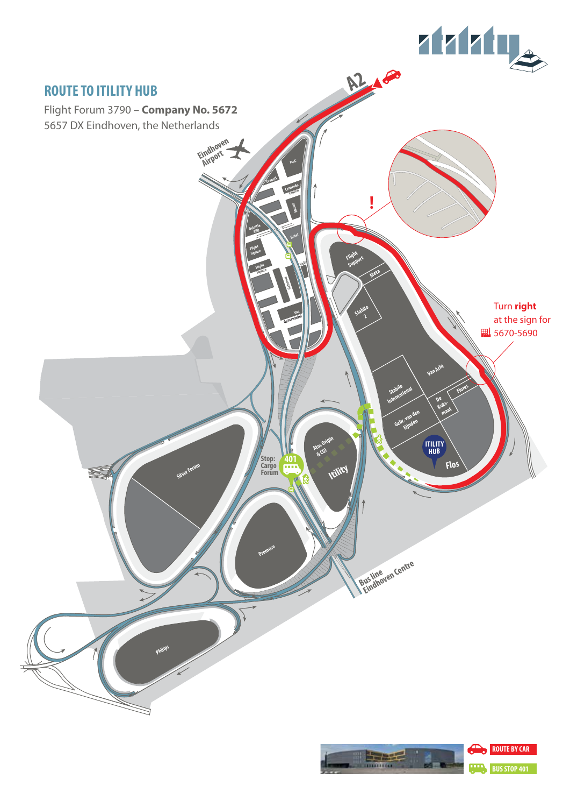